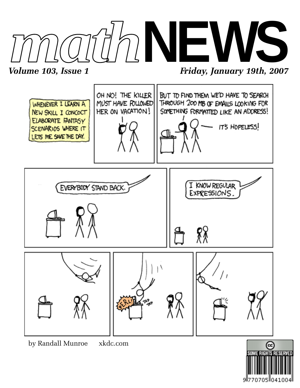

*Volume 103, Issue 1* Friday, January 19th, 2007



by Randall Munroe xkdc.com

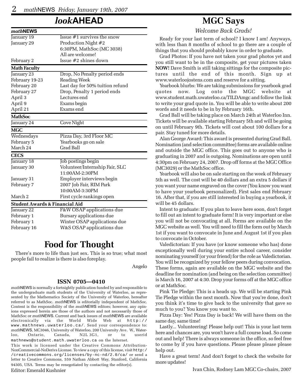# *look***AHEAD**

| mathNEWS                                  |                                 |
|-------------------------------------------|---------------------------------|
| January 19                                | Issue $#1$ survives the snow    |
| January 29                                | Production Night #2             |
|                                           | 6:30PM, MathSoc (MC 3038)       |
|                                           | All are welcome!                |
| February 2                                | Issue #2 shines down            |
| <b>Math Faculty</b>                       |                                 |
| January <sub>23</sub>                     | Drop, No Penalty period ends    |
| February 19-23                            | Reading Week                    |
| February 20                               | Last day for 50% tuition refund |
| February 27                               | Drop, Penalty 1 period ends     |
| April 3                                   | Lectures end                    |
| April 9                                   | Exams begin                     |
| April 21                                  | Exams end                       |
| <b>MathSoc</b>                            |                                 |
| January 24                                | Cove Night                      |
| <b>MGC</b>                                |                                 |
| Wednesdays                                | Pizza Day, 3rd Floor MC         |
| February 5                                | Yearbooks go on sale            |
| March 24                                  | <b>Grad Ball</b>                |
| <b>CECS</b>                               |                                 |
| January 18                                | Job postings begin              |
| January 30                                | Volunteer/Internship Fair, SLC  |
|                                           | 11:00AM-2:30PM                  |
| January 31                                | Employer interviews begin       |
| February 7                                | 2007 Job Fair, RIM Park         |
|                                           | 10:00AM-3:30PM                  |
| March 2                                   | First cycle rankings open       |
| <b>Student Awards &amp; Financial Aid</b> |                                 |
| January 22                                | F&W OSAP applications due       |
| February 1                                | Bursary applications due        |
| February 1                                | Winter OSAP applications due    |
| February 16                               | W&S OSAP applications due       |
|                                           |                                 |

# **Food for Thought**

There's more to life than just sex. This is so true; what most people fail to realize is there is also foreplay.

Angelo

#### **ISSN 0705—0410**

*math*NEWS is normally a fortnightly publication funded by and responsible to the undergraduate math students of the University of Waterloo, as represented by the Mathematics Society of the University of Waterloo, hereafter referred to as MathSoc. *math*NEWS is editorially independent of MathSoc. Content is the responsibility of the *math*NEWS editors; however, any opinions expressed herein are those of the authors and not necessarily those of MathSoc or *math*NEWS. Current and back issues of *math*NEWS are available electronically via the World Wide Web at http:// www.mathnews.uwaterloo.ca/. Send your correspondence to: *math*NEWS, MC3046, University of Waterloo, 200 University Ave. W., Waterloo, Ontario, Canada, N2L 3G1, or to userid mathnews@student.math.uwaterloo.ca on the Internet.

This work is licensed under the Creative Commons Attribution-NonCommercial-NoDerivs License. To view a copy of this license, visit http:/ /creativecommons.org/licenses/by-nc-nd/2.0/ca/ or send a letter to Creative Commons, 559 Nathan Abbott Way, Stanford, California 94305, USA. Terms may be renegotiated by contacting the editor(s).

#### Editor: Emerald Kushnier

# **MGC Says**

*Welcome Back Grads!*

Ready for your last term of school? I know I am! Anyways, with less than 8 months of school to go there are a couple of things that you should probably know in order to graduate.

Grad Photos: If you have not taken your grad photos yet and you still want to be in the composite, get your pictures taken **NOW!** Dave Smith is still taking sittings for the composite pictures until the end of this month. Sign up at www.waterloojostens.com and reserve for a sitting.

Yearbook blurbs: We are taking submissions for yearbook grad quotes now. Log onto the MGC website at www.student.math.uwaterloo.ca/TILDAmgc and follow the link to write your grad quote in. You will be able to write about 200 words and it needs to be in by February 16th.

Grad Ball will be taking place on March 24th at Waterloo Inn. Tickets will be available starting February 5th and will be going on until February 9th. Tickets will cost about 100 dollars for a pair. Stay tuned for more details.

Alan George Award: This award is presented during Grad Ball. Nomination (and selection committee) forms are available online and outside the MGC office. This goes out to anyone who is graduating in 2007 and is outgoing. Nominations are open until 4:30pm on February 24, 2007. Drop off forms at the MGC Office (MC3029) or the MathSoc office.

Yearbook will also be on sale starting on the week of February 5th as well. The cost will be 40 dollars and an extra 5 dollars if you want your name engraved on the cover (You know you want to have your yearbook personalized). First sales end February 16. After that, if you are still interested in buying a yearbook, it will be 45 dollars.

Intent to graduate: If you plan to leave here soon, don't forget to fill out an intent to graduate form! It is very important or else you will not be convocating at all. Forms are available on the MGC website as well. You will need to fill the form out by March 1st if you want to convocate in June and August 1st if you plan to convocate in October.

Valedictorian: If you have (or know someone who has) done exceptionally well during your entire school career, consider nominating yourself (or your friend) for the role as Valedictorian. You will be recognized by your fellow peers during convocation. These forms, again are available on the MGC website and the deadline for nomination (and being on the selection committee) is March 16, 2007 at 4:30. Drop your forms off at the MGC office or at MathSoc.

Pink Tie Pledge: This is a heads up. We will be starting Pink Tie Pledge within the next month. Now that you're done, don't you think it's time to give back to the university that gave so much to you? You know you want to.

Pizza Day: Yes! Pizza Day is back! We will have them on the same day, same time!

Lastly... Volunteering! Please help out! This is your last term here and chances are, you won't have a full course load. So come out and help! There is always someone in the office, so feel free to come by if you have questions. Please please please please help out.

Have a great term! And don't forget to check the website for more updates!

Ivan Chin, Rodney Lam MGC Co-chairs, 2007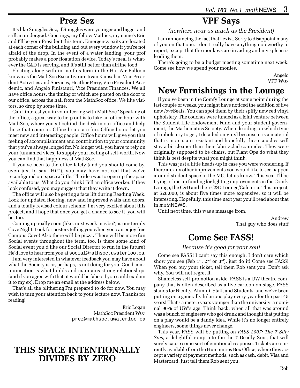### **Prez Sez**

It's like Snuggles Sez, if Snuggles were younger and bigger and still an undergrad. Greetings, my fellow Mathies, my name's Eric and I'll be your President this term. Emergency exits are located at each corner of the building and out every window if you're not afraid of the drop. In the event of a water landing, your prof probably makes a poor floatation device. Today's meal is whatever the C&D is serving, and it's still better than airline food.

Floating along with in me this term in the Hot Air Balloon known as the MathSoc Executive are Jivan Ramsahai, Vice President Activities and Services, Heather Perry, Vice President Academic, and Angelo Finistauri, Vice President Finances. We all have office hours, the timing of which are posted on the door to our office, across the hall from the MathSoc office. We like visitors, so drop by some time.

Can I interest you in volunteering with MathSoc? Speaking of the office, a great way to help out is to take an office hour with MathSoc, where you sit behind the desk in our office and help those that come in. Office hours are fun. Office hours let you meet new and interesting people. Office hours will give you that feeling of accomplishment and contribution to your community that you've always longed for. No longer will you have to rely on your (unnamed vices) to supply your feeling of self-worth. Now you can find that happiness at MathSoc.

If you've been to the office lately (and you should come by, even just to say "Hi!"), you may have noticed that we've reconfigured our space a little. The idea was to open up the space available to us. What do you think? Tell an office worker. If they look confused, you may suggest that they write it down.

The office will also be getting a face lift during Reading Week. Look for updated flooring, new and improved walls and doors, and a totally revised colour scheme! I'm very excited about this project, and I hope that once you get a chance to see it, you will be, too.

Coming up really soon (like, next week maybe?) is our termly Cove Night. Look for posters telling you when you can enjoy free Campus Cove! Also there will be pizza. There will be more fun Social events throughout the term, too. Is there some kind of Social event you'd like our Social Director to run in the future? He'd love to hear from you at social@mathsoc.uwaterloo.ca.

I am very interested in whatever feedback you may have about what the Society is or, perhaps, is not doing for you. Good communication is what builds and maintains strong relationships (and if you agree with that, it would be faboo if you could explain it to my ex). Drop me an email at the address below.

That's all the blithering I'm prepared to do for now. You may wish to turn your attention back to your lecture now. Thanks for reading!

> Eric Logan MathSoc President W07 prez@mathsoc.uwaterloo.ca

### **THIS SPACE INTENTIONALLY DIVIDES BY ZERO**

# **VPF Says**

*(nowhere near as much as the President)*

I am announcing the fact that I exist. Sorry to disappoint many of you on that one. I don't really have anything noteworthy to report, except that the monkeys are invading and my spleen is leading them.

There's going to be a budget meeting sometime next week. Come see how we spend your monies.

> Angelo VPF W07

# **New Furnishings in the Lounge**

If you've been in the Comfy Lounge at some point during the last couple of weeks, you might have noticed the addition of five new *love*Seats. You can spot them by their spiffy new red vinyl upholstery. The couches were funded as a joint venture between the Student Life Endowment Fund and your student government, the Mathematics Society. When deciding on which type of upholstery to get, I decided on vinyl because it is a material that is more stain resistant and hopefully these couches will stay a bit cleaner than their fabric-clad comrades. They were originally supposed to be chairs, but Plant Ops do what they think is best despite what you might think.

This was just a little heads-up in case you were wondering. If there are any other improvements you would like to see happen around student space in the MC, let us know. This year I'll be trying to line up funding for lighting improvements in the Comfy Lounge, the C&D and their C&D Lounge/Cafeteria. This project, at \$28,000, is about five times more expensive, so it will be interesting. Hopefully, this time next year you'll read about that in *math*NEWS.

Until next time, this was a message from,

Andrew That guy who does stuff

# **Come See FASS!**

#### *Because it's good for your soul*

Come see FASS! I can't say this enough. I don't care which show you see (Feb  $1^{st}$ ,  $2^{nd}$  or  $3^{rd}$ ), just do it! Come see FASS! When you buy your ticket, tell them Rob sent you. Don't ask why. You will not regret it.

Shameless self-promotion aside, FASS is a UW theatre company that is often described as a live cartoon on stage. FASS stands for Faculty, Alumni, Staff, and Students, and we've been putting on a generally hilarious play every year for the past 45 years! That's a mere 5 years younger than the university: a nominal 90% of UW's age. Think back, when all that was around was a bunch of engineers who got drunk and thought that putting on a play would be a dandy idea. While it's no longer entirely engineers, some things never change.

This year, FASS will be putting on *FASS 2007: The 7 Silly Sins*, a delightful romp into the the 7 Deadly Sins, that will surely cause some sort of emotional response. Tickets are currently available from the Humanities Box Office, where they accept a variety of payment methods, such as cash, debit, Visa and Mastercard. Just tell them Rob sent you.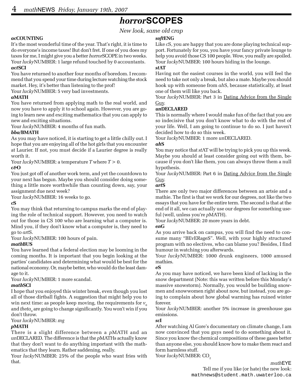# *horror***SCOPES**

*New look, same old crap*

#### *ac***COUNTING**

It's the most wonderful time of the year. That's right, it is time to do everyone's income taxes! But don't fret. If one of you does my taxes for me, I might give you a better *horror*SCOPE in two weeks. Your *lucky*NUMBER: 1 large refund touched by 0 accountants. *act***SCI**

# You have returned to another four months of boredom. I recom-

mend that you spend your time during lecture watching the stock market. Hey, it's better than listening to the prof!

Your *lucky*NUMBER: 5 very bad investments.

#### *a***MATH**

You have returned from applying math to the real world, and now you have to apply it to school again. However, you are going to learn new and exciting mathematics that you can apply to new and exciting situations.

Your *lucky*NUMBER: 4 months of fun math.

#### *bba/***BMATH**

As you may have noticed, it is starting to get a little chilly out. I hope that you are enjoying all of the hot girls that you encounter at Laurier. If not, you must decide if a Laurier degree is really worth it.

Your *lucky*NUMBER: a temperature *T* where *T* > 0.

#### *c&***O**

You just got off of another work term, and yet the countdown to your next has begun. Maybe you should consider doing something a little more worthwhile than counting down, say, your assignment due next week?

Your *lucky*NUMBER: 16 weeks to go.

#### *c***S**

You may think that returning to campus marks the end of playing the role of technical support. However, you need to watch out for those in CS 100 who are learning what a computer is. Mind you, if they don't know what a computer is, they need to go to *art*S.

Your *lucky*NUMBER: 100 hours of pain.

#### *math***BUS**

You have learned that a federal election may be looming in the coming months. It is important that you begin looking at the parties' candidates and determining what would be best for the national economy. Or, maybe better, who would do the least damage to it.

Your *lucky*NUMBER: 1 more scandal.

#### *math***SCI**

I hope that you enjoyed this winter break, even though you lost all of those dirtball fights. A suggestion that might help you to win next time: as people keep moving, the requirements for  $v_{0}$ and *theta<sub>0</sub>* are going to change significantly. You won't win if you don't throw.

Your *lucky*NUMBER: *mg*

#### *p***MATH**

There is a slight difference between a *p*MATH and an *un*DECLARED. The difference is that the *p*MATHs actually know that they don't want to do anything important with the mathematics that they learn. Rather saddening, really.

Your *lucky*NUMBER: 25% of the people who want fries with that.

#### *soft***ENG**

Like *c*S, you are happy that you are done playing technical support. Fortunately for you, you have your fancy private lounge to help you avoid those CS 100 people. Wow, you really are spoiled. Your *lucky*NUMBER: 100 hours hiding in the lounge.

#### *st***AT**

Having not the easiest courses in the world, you will feel the need to take not only a break, but also a mate. Maybe you should hook up with someone from *ah*S, because statistically, at least one of them will like you back.

Your *lucky*NUMBER: Part 3 in Dating Advice from the Single Guy.

#### *un***DECLARED**

This is normally where I would make fun of the fact that you are so indecisive that you don't know what to do with the rest of your life. Well, I am going to continue to do so. I just haven't decided how to do so this week.

Your *lucky*NUMBER: 1 more *un*DECLARED.

#### *ah***S**

You may notice that *st*AT will be trying to pick you up this week. Maybe you should at least consider going out with them, because if you don't like them, you can always throw them a null hypothesis.

Your *lucky*NUMBER: Part 6 in Dating Advice from the Single Guy.

#### *art***S**

There are only two major differences between an artsie and a mathie. The first is that we work for our degrees, not like the two essays that you have for the entire term. The second is that at the end of it all, we can actually use our degrees for something useful (well, unless you're *p*MATH).

Your *lucky*NUMBER: 20 more years in debt.

#### *en***G**

As you arrive back on campus, you will find the need to consume many "BEvERageS". Well, with your highly structured program with no electives, who can blame you? Besides, I find humour in watching you afterwards.

Your *lucky*NUMBER: 1000 drunk engineers, 1000 amused mathies.

#### *e***S**

As you may have noticed, we have been kind of lacking in the snow department (Note: this was written before this Monday's massive snowstorm). Normally, you would be building snowmen and snowwomen right about now, but instead, you are going to complain about how global warming has ruined winter forever.

Your *lucky*NUMBER: another 5% increase in greenhouse gas emissions.

#### *sc***I**

After watching Al Gore's documentary on climate change, I am now convinced that you guys need to do something about it. Since you know the chemical compositions of these gases better than anyone else, you should know how to make them react and form harmless stuff.

Your *lucky*NUMBER: CO<sub>2</sub>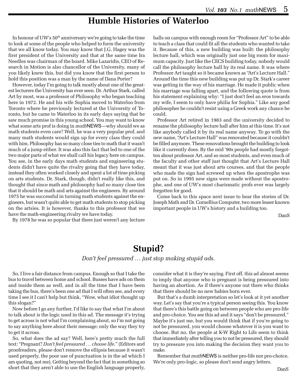### **Humble Histories of Waterloo**

In honour of UW's 50<sup>th</sup> anniversary we're going to take the time to look at some of the people who helped to form the university that we all know today. You may know that J.G. Hagey was the first president of the University and that at the same time Ira Needles was chairman of the board. Mike Lazaridis, CEO of Research in Motion is also chancellor of the University, many of you likely knew this, but did you know that the first person to hold this position was a man by the name of Dana Porter?

However, today I'm going to talk mostly about one of the greatest lecturers the University has ever seen. Dr. Arthur Stark, called Art by most, was a professor of Philosophy who began teaching here in 1972. He and his wife Sophia moved to Waterloo from Toronto where he previously lectured at the University of Toronto, but he came to Waterloo in its early days saying that he saw much promise in this young school. You may want to know what some arts prof is doing in *math*NEWS—why should we as math students even care? Well, he was a very popular prof, and many math students would sign up for every class they could with him. Philosophy has so many close ties to math that it wasn't much of a jump either. It was also this fact that led to one of the two major parts of what we shall call his legacy here on campus. You see, in the early days math students and engineering students didn't have quite the rivalry going that they have today, instead they often worked closely and spent a lot of time picking on arts students. Dr. Stark, though, didn't really like this, and thought that since math and philosophy had so many close ties that it should be math and arts against the engineers. By around 1975 he was successful in turning math students against the engineers, but wasn't quite able to get math students to stop picking on the artsies. It is however, thanks to this professor that we have the math-engineering rivalry we have today.

By 1978 he was so popular that there just weren't any lecture

halls on campus with enough room for "Professor Art" to be able to teach a class that could fit all the students who wanted to take it. Because of this, a new building was built: the philosophy lecture hall, which was originally just one big room for maximum capacity. Just like the CECS building today, nobody would call the philosophy lecture hall by its real name. It was where Professor Art taught so it became known as "Art's Lecture Hall." Around the time this new building was put up Dr. Stark's career was getting in the way of his marriage. He made it public when his marriage was falling apart, and the following quote is from his statement explaining why: "I just don't feel an eros towards my wife, I seem to only have philia for Sophia." Like any good philosopher he couldn't resist using a Greek work any chance he could.

Professor Art retired in 1983 and the university decided to rename the philosophy lecture hall after him at this time. It's not like anybody called it by its real name anyway. To go with the new name, "Art's Lecture Hall" was renovated because it couldn't be filled anymore. These renovations brought the building to look like it currently does. By the mid '90s people had mostly forgotten about professor Art, and so most students, and even much of the faculty and other staff just thought that Art's Lecture Hall meant that it was just about arts courses, and that the people who made the sign had screwed up when the apostrophe was put on. So in 1995 new signs were made without the apostrophe, and one of UW's most charismatic profs ever was largely forgotten for good.

Come back to this space next issue to hear the stories of Dr. Joseph Math and Dr. Cornellius Computer, two more lesser known important people in UW's history and a building too.

DanS

# **Stupid?**

#### *Don't feel pressured … just stop making stupid ads.*

So, I live a fair distance from campus. Enough so that I take the bus to travel between home and school. Busses have ads on them and inside them as well, and in all the time that I have been taking the bus, there's been one ad that I will often see, and every time I see it I can't help but think, "Wow, what idiot thought up this slogan?"

Now before I go any further, I'd like to say that what I'm about to talk about is the logic used in this ad. The message it's trying to get across is not what I'm complaining about, so I'm not going to say anything here about their message; only the way they try to get it across.

So, what does the ad say? Well, here's pretty much the full text: "Pregnant? *Don't feel pressured … choose life.*" (Editors and proofreaders, please don't remove the ellipsis because it wasn't used properly, the poor use of punctuation is in the ad which I am quoting, not me). Getting beyond the fact that in something so short that they aren't able to use the English language properly, consider what it is they're saying. First off, this ad almost seems to imply that anyone who is pregnant is being pressured into having an abortion. As if there's anyone out there who thinks that there should be no new babies born ever.

But that's a dumb interpretation so let's look at it yet another way. Let's say that you're a typical person seeing this. You know that there's this battle going on between people who are pro-life and pro-choice. You see this ad and it says "don't be pressured." Maybe it's just me, but you would think that if you're going to not be pressured, you would choose whatever it is you want to choose. But no, the people at K-W Right to Life seem to think that immediately after telling you to not be pressured, they should try to pressure you into making the decision they want you to make.

Remember that *math*NEWS is neither pro-life nor pro-choice. We're only pro-logic, so please don't send angry letters.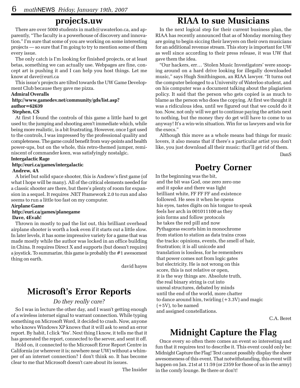### **projects.uw**

There are over 5000 students in math@uwaterloo.ca, and apparently, "The faculty is a powerhouse of discovery and innovation." I'm sure that some of you are working on some interesting projects — so sure that I'm going to try to mention some of them every issue.

The only catch is I'm looking for finished projects, or at least betas, something we can actually use. Webpages are fine, concept art is pushing it and I can help you host things. Let me know at dave@euri.ca

This issue's projects are tilted towards the UW Game Development Club because they gave me pizza.

#### **Admiral Overalls**

#### **http://www.gamedev.net/community/gds/list.asp? author=62639**

#### **Stephen, CS**

At first I found the controls of this game a little hard to get used to; the jumping and shooting aren't immediate which, while being more realistic, is a bit frustrating. However, once I got used to the controls, I was impressed by the professional quality and completeness. The game could benefit from way-points and health power-ups, but on the whole, this retro-themed jumper, reminiscent of commander keen, was satisfyingly nostalgic.

#### **Intergalactic Rage**

#### **http://euri.ca/games/intergalactic**

#### **Andrew, 4A**

A brief but solid space shooter, this is Andrew's first game (of what I hope will be many). All of the critical elements needed for a classic shooter are there, but there's plenty of room for expansion in a sequel. It requires .NET Framework 2.0 to run and also seems to run a little too fast on my computer.

#### **Airplane Game**

#### **http://euri.ca/games/planegame**

#### **Dave, 4Evah!**

Thrown in mostly to pad the list out, this brilliant overhead airplane shooter is worth a look even if it starts out a little slow. In later levels, it has some impressive variety for a game that was made mostly while the author was locked in an office building in China. It requires Direct X and supports (but doesn't require) a joystick. To summarize, this game is probably the #1 awesomest thing on earth.

david hayes

# **Microsoft's Error Reports**

#### *Do they really care?*

So I was in lecture the other day, and I wasn't getting enough of a wireless internet signal to warrant connection. While typing something on Microsoft Word, it decided to crash. Now, anyone who knows Windows XP knows that it will ask to send an error report. By habit, I click 'Yes'. Next thing I know, it tells me that it has generated the report, connected to the server, and sent it off.

Hold on, it connected to the Microsoft Error Report Centre in California (or wherever it is; nowhere near UW) without a whimper of an internet connection? I don't think so. It has become clear to me that Microsoft doesn't care about its issues.

The Insider

### **RIAA to sue Musicians**

In the next logical step for their current business plan, the RIAA has recently announced that as of Monday morning they are going to begin siccing their lawyers on their own musicians for an additional revenue stream. This story is important for UW as well since according to their press release, it was UW that gave them the idea.

"Our hackers, err… 'Stolen Music Investigators' were snooping around on a hard drive looking for illegally downloaded music," says Hugh Smithingson, an RIAA lawyer. "It turns out the computer belonged to a University of Waterloo student, and on his computer was a document talking about the plagiarism policy. It said that the person who gets copied is as much to blame as the person who does the copying. At first we thought it was a ridiculous idea, until we figured out that we could do it too. Now, not only will we get to continue paying the artists next to nothing, but the money they do get will have to come to us anyway! It's a win-win situation. Win for us lawyers and win for the execs."

Although this move as a whole means bad things for music lovers, it also means that if there's a particular artist you don't like, you just download all their music: that'll get rid of them.

DanS

# **Poetry Corner**

In the beginning was the bit, and the bit was God, one zero zero one and it spoke and there was light brilliant white, FF FF FF and existence followed. He sees it when he opens his eyes, tastes digits on his tongue to speak feels her arch in 001011100 as they join forms and follow protocols he takes the red pill and now Pythagoras escorts him in monochrome from station to station as data trains cross the tracks: opinions, events, the smell of hair, frustration; it is all unicode and translation is lossless, for he remembers that power comes not from logic gates but electricity. He is not wrong on this score, this is not relative or open, it is the way things are. Absolute truth, the real binary string is cut into unreal structures, debated by minds until the end of the world, more chatter to dance around him, twirling  $(+3.3V)$  and magic  $(+5V)$ , to be named and assigned constellations.

C.A. Beret

# **Midnight Capture the Flag**

Once every so often there comes an event so interesting and fun that it requires text to describe it. This event could only be: Midnight Capture the Flag! Text cannot possibly display the sheer awesomeness of this event. That notwithstanding, this event will happen on Jan. 21st at 11:59 (or 2359 for those of us in the army) in the comfy lounge. Be there or don't!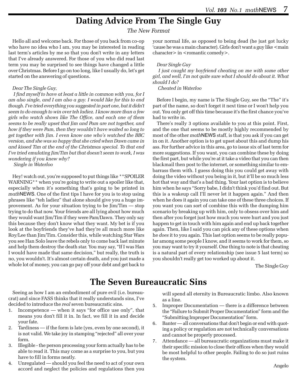# **Dating Advice From The Single Guy**

*The New Format*

Hello all and welcome back. For those of you back from co-op who have no idea who I am, you may be interested in reading last term's articles by me so that you don't write in any letters that I've already answered. For those of you who did read last term you may be surprised to see things have changed a little over Christmas. Before I go on too long, like I usually do, let's get started on the answering of questions.

#### *Dear The Single Guy,*

 *I find myself to have at least a little in common with you, for I am also single, and I am also a guy. I would like for this to end though. I've tried everything you suggested in part one, but it didn't seem to do enough to win over teh ladiez. I know more than a few girls who watch shows like The Office, and each one of them seems to be really upset that Jim and Pam are not together, and how if they were Pam, then they wouldn't have waited so long to get together with Jim. I even know one who's watched the BBC version, and she was so happy that she cried when Dawn came in and kissed Tim at the end of the Christmas special. To that end I've tried emulating Jim/Tim but that doesn't seem to work, I was wondering if you knew why?*

 *Single in Waterloo*

Hey! watch out, you're supposed to put things like \*\*SPOILER WARNING\*\* when you're going to write out a spoiler like that, especially when it's something that's going to be printed in *math*NEWS. One of the first tips I have for you is to stop using phrases like "teh ladiez" that alone should give you a huge improvement. As for your situation trying to be Jim/Tim — stop trying to do that now. Your friends are all lying about how much they would want Jim/Tim if they were Pam/Dawn. They only say this because they don't know what they want. My bet is if you look at the boyfriends they've had they're all much more like Roy/Lee than Jim/Tim. Consider this, while watching Star Wars you see Han Solo leave the rebels only to come back last minute and help them destroy the death star. You may say, "If I was Han I would have made that same decision," but really, the truth is no, you wouldn't. It's almost certain death, and you just made a whole lot of money, you can go pay off your debt and get back to

your normal life, as opposed to being dead (he just got lucky 'cause he was a main character). Girls don't want a guy like <main character > in <romantic comedy>.

#### *Dear Single Guy*

 *I just caught my boyfriend cheating on me with some other girl, and well, I'm not quite sure what I should do about it. What should I do?*

#### *Cheated in Waterloo*

Before I begin, my name is The Single Guy, see the "The" it's part of the name, so don't forget it next time or I won't help you out. You only get off this time because it's the first chance you've had to write in.

There's really 3 options available to you at this point. First, and the one that seems to be mostly highly recommended by most of the other *math*NEWS staff, is that you ask if you can get in on it. Another option is to get upset about this and dump his ass. For further advice in this area, go to issue six of last term for more suggestions. If you want, you can combine these by doing the first part, but while you're at it take a video that you can then blackmail then post to the internet, or something similar to embarrass them with. I guess doing this you could get away with doing the video without you being in it, but it'll be so much less hot that way and that's a bad thing. Your last option is to believe him when he says "Sorry babe, I didn't think you'd find out. But this is a wakeup call I'll never let it happen again." And then when he does it again you can take one of these three choices. If you want you can sort of combine this with the dumping him scenario by breaking up with him, only to obsess over him and then after you forget just how much you were hurt and you just happen to get in touch with him again and end up back together again. Then, like I said you can pick any of these options when he *does* it to you again. This last option seems to be really popular among some people I know, and it seems to work for them, so you may want to try it yourself. One thing to note is that cheating is a natural part of every relationship (see issue 5 last term) so you shouldn't really get too worked up about it.

The Single Guy

# **The Seven Bureaucratic Sins**

Seeing as how I am an embodiment of pure evil (i.e. bureaucrat) and since FASS thinks that it really understands sins, I've decided to introduce the *real* seven bureaucratic sins.

- Incompetence when it says "for office use only", that means you don't fill it in. In fact, we fill it in and decide your fate.
- 2. Tardiness if the form is late (yes, even by one second), it is not valid. We take joy in stamping "rejected" all over your form.
- 3. Illegible the person processing your form actually has to be able to read it. This may come as a surprise to you, but you have to fill in forms neatly.
- 4. Unregulated should you feel the need to act of your own accord and neglect the policies and regulations then you

will spend all eternity in Bureaucratic limbo. Also known as a line.

- 5. Improper Documentation there is a difference between the "Failure to Submit Proper Documentation" form and the "Submitting Improper Documentation" form.
- 6. Banter all conversations that don't begin or end with quoting a policy or regulation are not technically conversations and cannot be properly processed.
- 7. Attendance all bureaucratic organizations must make it their specific mission to close their offices when they would be most helpful to other people. Failing to do so just ruins the system.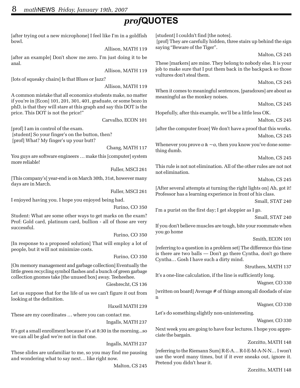# *prof***QUOTES**

[after trying out a new microphone] I feel like I'm in a goldfish bowl. Allison, MATH 119 [after an example] Don't show me zero. I'm just doing it to be anal. Allison, MATH 119 [lots of squeaky chairs] Is that Blues or Jazz? Allison, MATH 119 A common mistake that all economics students make, no matter if you're in [Econ] 101, 201, 301, 401, graduate, or some bozo in phD, is that they will stare at this graph and say this DOT is the price. This DOT is not the price!" Carvalho, ECON 101 [prof] I am in control of the exam. [student] So your finger's on the button, then? [prof] What? My finger's up your butt? Chang, MATH 117 You guys are software engineers … make this [computer] system more reliable! Fuller, MSCI 261 [This company's] year-end is on March 30th, 31st, however many days are in March. Fuller, MSCI 261 I enjoyed having you. I hope you enjoyed being had. Furino, CO 350 Student: What are some other ways to get marks on the exam? Prof: Gold card, platinum card, bullion - all of those are very successful. Furino, CO 350 [In response to a proposed solution] That will employ a lot of people, but it will not minimize costs. Furino, CO 350 [On memory management and garbage collection] Eventually the little green recycling symbol flashes and a bunch of green garbage collection gnomes take [the unused box] away. Teeheehee. Giesbrecht, CS 136 Let us suppose that for the life of us we can't figure it out from looking at the definition. Haxell MATH 239 These are my coordinates … where you can contact me. Ingalls, MATH 237 It's got a small enrollment because it's at 8:30 in the morning...so we can all be glad we're not in that one. Ingalls, MATH 237 These slides are unfamiliar to me, so you may find me pausing [student] I couldn't find [the notes]. [prof] They are carefully hidden, three stairs up behind the sign saying "Beware of the Tiger". These [markers] are mine. They belong to nobody else. It is your job to make sure that I put them back in the backpack so those vultures don't steal them. When it comes to meaningful sentences, [paradoxes] are about as meaningful as the monkey noises. Hopefully, after this example, we'll be a little less OK. [after the computer froze] We don't have a proof that this works. Whenever you prove  $a \& \sim a$ , then you know you've done something dumb. This rule is not not elimination. All of the other rules are not not not elimination. [After several attempts at turning the right lights on] Ah, got it! Professor has a learning experience in front of his class. I'm a purist on the first day; I get sloppier as I go. If you don't believe muscles are tough, bite your roommate when you go home [referring to a question in a problem set] The difference this time is there are two balls — Don't go there Cyntha, don't go there Cyntha… Gosh I have such a dirty mind. It's a one-line calculation, if the line is sufficiently long. [written on board] Average # of things among all doodads of size n Let's do something slightly non-uninteresting. Next week you are going to have four lectures. I hope you appreciate the bargain. [referring to the Riemann Sum] R-E-A… R-I-E-M-A-N-N… I won't use the word many times, but if it ever sneaks out, ignore it.

Malton, CS 245

Pretend you didn't hear it.

and wondering what to say next… like right now.

Zorzitto, MATH 148

Zorzitto, MATH 148

Malton, CS 245

Malton, CS 245

Malton, CS 245

Malton, CS 245

Malton, CS 245

Malton, CS 245

Malton, CS 245

Small, STAT 240

Small, STAT 240

Smith, ECON 101

Struthers, MATH 137

Wagner, CO 330

Wagner, CO 330

Wagner, CO 330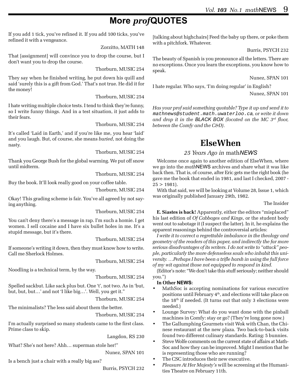# **More** *prof***QUOTES**

If you add 1 tick, you've refined it. If you add 100 ticks, you've refined it with a vengeance.

Zorzitto, MATH 148

That [assignment] will convince you to drop the course, but I don't want you to drop the course.

Thorburn, MUSIC 254

They say when he finished writing, he put down his quill and said 'surely this is a gift from God.' That's not true. He did it for the money!

Thorburn, MUSIC 254

I hate writing multiple choice tests. I tend to think they're funny, so I write funny things. And in a test situation, it just adds to their fears.

Thorburn, MUSIC 254

It's called 'Laid in Earth,' and if you're like me, you hear 'laid' and you laugh. But, of course, she means *buried*, not doing the nasty.

Thorburn, MUSIC 254

Thank you George Bush for the global warming. We put off snow until midterm.

Thorburn, MUSIC 254

Buy the book. It'll look really good on your coffee table.

Thorburn, MUSIC 254

Okay! This grading scheme is fair. You've all agreed by not saying anything.

Thorburn, MUSIC 254

You can't deny there's a message in rap. I'm such a homie. I get women. I sell cocaine and I have six bullet holes in me. It's a stupid message, but it's there.

Thorburn, MUSIC 254

If someone's writing it down, then they must know how to write. Call me Sherlock Holmes.

Thorburn, MUSIC 254

Noodling is a technical term, by the way.

Thorburn, MUSIC 254

Spelled sackbut. Like sack plus but. One 't', not two. As in 'but, but, but, but…' and not 'I like big…'. Well, you get it."

Thorburn, MUSIC 254

The minimalists? The less said about them the better.

Thorburn, MUSIC 254

I'm actually surprised so many students came to the first class. Prime class to skip.

Langdon, RS 230

What? She's not here? Ahh… superman stole her!"

Nunez, SPAN 101

Is a bench just a chair with a really big ass?

Burris, PSYCH 232

[talking about highchairs] Feed the baby up there, or poke them with a pitchfork. Whatever.

Burris, PSYCH 232

The beauty of Spanish is you pronounce all the letters. There are no exceptions. Once you learn the exceptions, you know how to speak.

Nunez, SPAN 101

I hate regular. Who says, 'I'm doing regular' in English?

Nunez, SPAN 101

*Has your prof said something quotable? Type it up and send it to* mathnews@student.math.uwaterloo.ca*, or write it down and drop it in the BLACK BOX (located on the MC 3rd floor, between the Comfy and the C&D).*

# **ElseWhen**

#### *25 Years Ago in* math*NEWS*

Welcome once again to another edition of ElseWhen, where we go into the *math*NEWS archives and share what it was like back then. That is, of course, after Eric gets me the right book (he gave me the book that ended in 1981, and last I checked, 2007 -  $25 > 1981$ .

With that said, we will be looking at Volume 28, Issue 1, which was originally published January 29th, 1982.

The Insider

**E. Siastes is back!** Apparently, either the editors "misplaced" his last edition of *Of Cabbages and Kings*, or the student body went out to sabotage it (I suspect the latter). In it, he explains the apparent reasonings behind the controversial articles:

*I write it to correct a regrettable imbalance in the theology and geometry of the readers of this paper, and indirectly the far more serious disadvantages of its writers. I do not write to "attack" people, particularly the more defenseless souls who inhabit this university. …Perhaps I have been a trifle harsh in using the full force of my wit against those not equipped to respond in kind.*

(Editor's note: "We don't take this stuff seriously; neither should you.")

#### **In Other NEWS:**

- MathSoc is accepting nominations for various executive positions until February 4th, and elections will take place on the 18th if needed. (It turns out that only 3 elections were needed.)
- Lounge Survey: What do you want done with the pinball machines in Comfy: stay or go? (They're long gone now.)
- The Gallumphing Gourmets visit Wok with Chan, the Chinese restaurant at the new plaza. Two back-to-back visits found two different culinary standards. Rating: 5 bunnies.
- Steve Wolfe comments on the current state of affairs at Math-Soc and how they can be improved. Might I mention that he is representing those who are running?
- The CSC introduces their new executive.
- *Pleasure At Her Majesty's* will be screening at the Humanities Theatre on February 11th.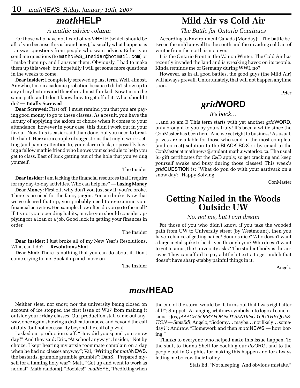# *math***HELP**

#### *A mathie advice column*

For those who have not heard of *math*HELP (which should be all of you because this is brand new), basically what happens is I answer questions from people who want advice. Either you send me questions (to mathNEWS\_Insider@hotmail.com) or I make them up, and I answer them. Obviously, I had to make them up this week, but hopefully I will get some more questions in the weeks to come.

**Dear Insider:** I completely screwed up last term. Well, almost. Anywho, I'm on academic probation because I didn't show up to any of my lectures and therefore almost flunked. Now I'm on the same path, and I don't know how to get off of it. What should I do? **— Totally Screwed**

**Dear Screwed:** First off, I must remind you that you are paying good money to go to these classes. As a result, you have the luxury of applying the axiom of choice when it comes to your attendance, however in your case, this didn't work out in your favour. Now this is easier said than done, but you need to break the habit. Here are a couple of suggestions that might work: setting (and paying attention to) your alarm clock, or possibly having a fellow mathie friend who knows your schedule to help you get to class. Best of luck getting out of the hole that you've dug yourself.

**Dear Insider:** I am lacking the financial resources that I require for my day-to-day activities. Who can help me? **— Losing Money**

**Dear Money:** First off, why don't you just say it: you're broke. There is no need for the fancy jargon. You are broke. Now that we've cleared that up, you probably need to re-examine your financial activities. For example, how often do you go to the mall? If it's not your spending habits, maybe you should consider applying for a loan or a job. Good luck in getting your finances in order.

The Insider

The Insider

**Dear Insider:** I just broke all of my New Year's Resolutions. What can I do? **— Resolutions Shot**

**Dear Shot:** There is nothing that you can do about it. Don't come crying to me. Suck it up and move on.

The Insider

# **Mild Air vs Cold Air**

*The Battle for Ontario Continues*

According to Environment Canada (Monday): "The battle between the mild air well to the south and the invading cold air of winter from the north is not over."

It is the Ontario Front in the War on Winter. The Cold Air has recently invaded the land and is wreaking havoc on its people. Kinda reminds me of Germany during WWI, no?

However, as in all good battles, the good guys (the Mild Air) will always prevail. Unfortunately, that will not happen anytime soon.

Peter

# *grid***WORD**

#### *It's back…*

…and so am I! This term starts with yet another *grid*WORD, only brought to you by yours truly! It's been a while since the ConMaster has been here. And we get right to business! As usual, prizes are available for those who send in the most complete (and correct) solution to the BLACK BOX or by email to the ConMaster at mathnews@student.math.uwaterloo.ca. The usual \$5 gift certificates for the C&D apply, so get cracking and keep yourself awake and busy during those classes! This week's *grid*QUESTION is: "What do you do with your aardvark on a snow day?" Happy Solving!

ConMaster

# **Getting Nailed in the Woods Outside UW**

#### *No, not me, but I can dream*

For those of you who didn't know, if you take the wooded path from UW to University street (by Westmount), then you have a chance of getting nailed! Sounds nice? Who doesn't want a large metal spike to be driven through you? Who doesn't want to get tetanus, the University asks? The student body is the answer. They can afford to pay a little bit extra to get mulch that doesn't have sharp-stabby painful things in it.

Angelo

### *mast***HEAD**

Neither sleet, nor snow, nor the university being closed on account of ice stopped the first issue of W07 from making it outside your Friday classes. Our production staff came out anyway, once again showing a dedication above and beyond the call of duty (but not necessarily beyond the call of pizza).

I asked our production staff, "How did you spend your snow day?" And they said: Eric, "At school anyway"; Insider, "Not by choice, I kept hearing my artsie roommate complain on a day when he had no classes anyway"; Val, "Writing for *math*NEWS, the bastards, grumble grumble grumble"; DanS, "Prepared myself for a flaming holy war"; Matt, "Got up and went to work as normal"; Math.random(), "Boobies!"; *math*EYE, "Predicting when

the end of the storm would be. It turns out that I was right after alll!"; Snippet, "Arranging arbitrary symbols into logical conclusions"; Jos, *[AAAGH SORRY FOR NOT SENDING YOU THE QUES-TION — StatsEd]*; Angelo, "Sodomy… maybe… not likely… someday?"; Andrew, "Homework and then *math*NEWS — how boring!"

Thanks to everyone who helped make this issue happen. To the staff, to Donna Shell for booking our *dis*ORG, and to the people out in Graphics for making this happen and for always letting me borrow their trolley.

Stats Ed, "Not sleeping. And obvious mistake."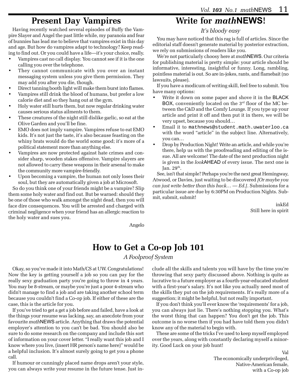# **Present Day Vampires**

Having recently watched several episodes of Buffy the Vampire Slayer and Angel the past little while, my paranoia and fear of bunnies has lead me to believe that vampires exist in this day and age. But how do vampires adapt to technology? Keep reading to find out. Or you could have a life—it's your choice, really.

- Vampires cast no call display. You cannot see if it is the one calling you over the telephone.
- They cannot communicate with you over an instant messaging system unless you give them permission. They may add you after you die, though.
- Direct tanning booth light will make them burst into flames.
- Vampires still drink the blood of humans, but prefer a low calorie diet and so they hang out at the gym.
- Holy water still hurts them, but now regular drinking water causes serious status ailments to them.
- These creatures of the night still dislike garlic, so eat at the Olive Garden and you'll be fine.
- EMO does not imply vampire. Vampires refuse to eat EMO kids. It's not just the taste, it's also because feasting on the whiny brats would do the world some good; it's more of a political statement more than anything else.
- Vampires are now protected against hate crimes and consider sharp, wooden stakes offensive. Vampire slayers are not allowed to carry these weapons in their arsenal to make the community more vampire-friendly.
- Upon becoming a vampire, the human not only loses their soul, but they are automatically given a job at Microsoft.

So do you think one of your friends might be a vampire? Slip them some holy water and find out. But be warned: should they be one of those who walk amongst the night dead, then you will face dire consequences. You will be arrested and charged with criminal negligence when your friend has an allergic reaction to the holy water and sues you.

# **Write for** *math***NEWS!**

*It's bloody easy*

You may have noticed that this rag is full of articles. Since the editorial staff doesn't generate material by posterior extraction, we rely on submissions of readers like you.

We're not particularly choosy here at *math*NEWS. Our criteria for publishing material is pretty simple: your article should be informative, interesting, insightful or funny. Long, rambling, pointless material is out. So are in-jokes, rants, and flamebait (no lawsuits, please).

If you have a modicum of writing skill, feel free to submit. You have many options:

- Write it down on some paper and shove it in the BLACK BOX, conveniently located on the 3<sup>rd</sup> floor of the MC between the C&D and the Comfy Lounge. If you type up your article and print it off and then put it in there, we will be very upset, because you should…
- Email it to mathnews@student.math.uwaterloo.ca with the word "article" in the subject line. Alternatively, you can…
- Drop by Production Night! Write an article, and while you're there, help us with the proofreading and editing of the issue. All are welcome! The date of the next production night is given in the *look*AHEAD of every issue. The next one is Jan.  $29<sup>th</sup>$ .

See, isn't that simple? Perhaps you're the next great Hemingway, Atwood, or Davies, just waiting to be discovered *[Or maybe you can just write better than this hack… — Ed.]*. Submissions for a particular issue are due by 6:30PM on Production Nights. Submit, submit, submit!

> inkEd Still here in spirit

Angelo

# **How to Get a Co-op Job 101**

*A Foolproof System*

Okay, so you've made it into Math/CS at UW. Congratulations! Now the key is getting yourself a job so you can pay for the really sexy graduation party you're going to throw in 4 years. You may be 8-stream, or maybe you're just a poor 4-stream who didn't manage to find a job and are taking another school term because you couldn't find a Co-op job. If either of these are the case, this is the article for you.

If you've tried to get a get a job before and failed, have a look at the things your resume was lacking, say, an anecdote from your favourite *math*NEWS article. Anything that draws the potential employer's attention to you can't be bad. You should also be sure to do some research on the company and include this sort of information on your cover letter. "I really want this job and I know where you live, (insert HR person's name here)" would be a helpful inclusion. It's almost surely going to get you a phone call.

If humour or cunningly placed name drops aren't your style, you can always write your resume in the future tense. Just include all the skills and talents you will have by the time you're throwing that sexy party discussed above. Nothing is quite as lucrative to a future employer as a fourth-year-educated student with a first-year's salary. It's not like you actually need most of the skills they put on the job requirements. It's really more of a suggestion; it might be helpful, but not really important.

If you don't think you'll ever know the 'requirements' for a job, you can always just lie. There's nothing stopping you. What's the worst thing that can happen? You don't get the job. This outcome is no worse then if you had have told them you didn't know any of the material to begin with.

These are some of the tricks I've used to keep myself employed over the years, along with constantly declaring myself a minority. Good Luck on your job hunt!

> Val The economically underprivileged, Native-American female, with a Co-op job